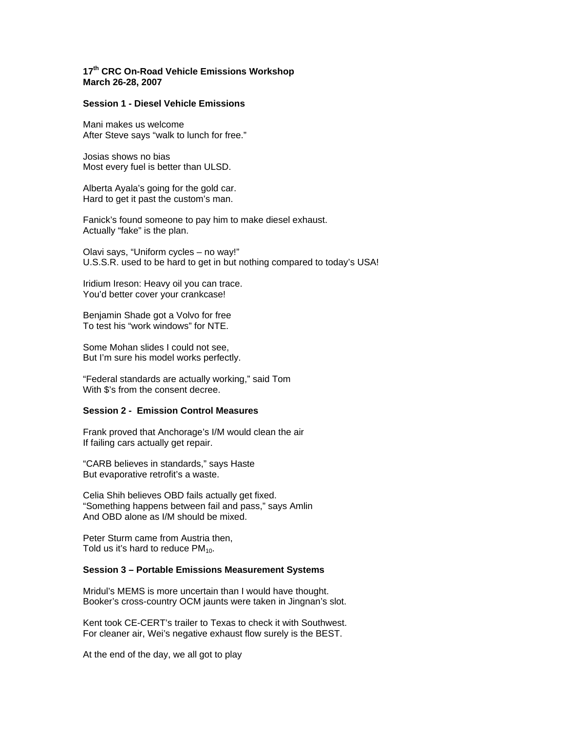# **17th CRC On-Road Vehicle Emissions Workshop March 26-28, 2007**

## **Session 1 - Diesel Vehicle Emissions**

Mani makes us welcome After Steve says "walk to lunch for free."

Josias shows no bias Most every fuel is better than ULSD.

Alberta Ayala's going for the gold car. Hard to get it past the custom's man.

Fanick's found someone to pay him to make diesel exhaust. Actually "fake" is the plan.

Olavi says, "Uniform cycles – no way!" U.S.S.R. used to be hard to get in but nothing compared to today's USA!

Iridium Ireson: Heavy oil you can trace. You'd better cover your crankcase!

Benjamin Shade got a Volvo for free To test his "work windows" for NTE.

Some Mohan slides I could not see, But I'm sure his model works perfectly.

"Federal standards are actually working," said Tom With \$'s from the consent decree.

## **Session 2 - Emission Control Measures**

Frank proved that Anchorage's I/M would clean the air If failing cars actually get repair.

"CARB believes in standards," says Haste But evaporative retrofit's a waste.

Celia Shih believes OBD fails actually get fixed. "Something happens between fail and pass," says Amlin And OBD alone as I/M should be mixed.

Peter Sturm came from Austria then, Told us it's hard to reduce  $PM_{10}$ .

### **Session 3 – Portable Emissions Measurement Systems**

Mridul's MEMS is more uncertain than I would have thought. Booker's cross-country OCM jaunts were taken in Jingnan's slot.

Kent took CE-CERT's trailer to Texas to check it with Southwest. For cleaner air, Wei's negative exhaust flow surely is the BEST.

At the end of the day, we all got to play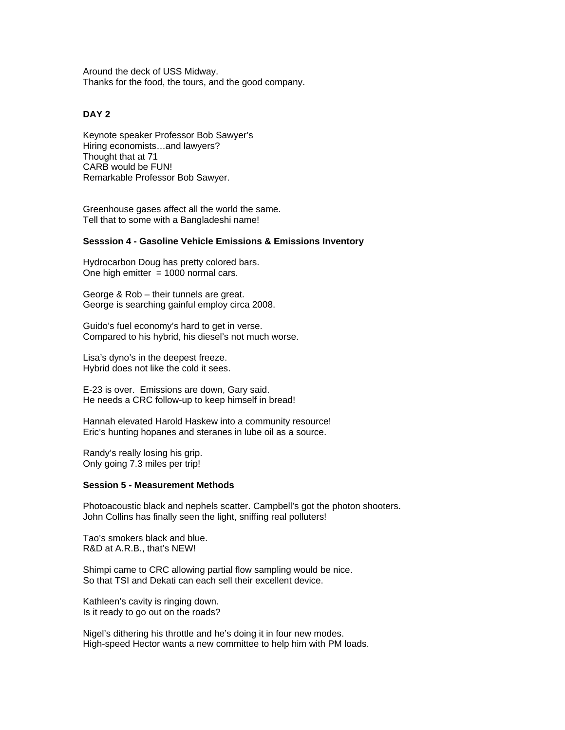Around the deck of USS Midway. Thanks for the food, the tours, and the good company.

# **DAY 2**

Keynote speaker Professor Bob Sawyer's Hiring economists…and lawyers? Thought that at 71 CARB would be FUN! Remarkable Professor Bob Sawyer.

Greenhouse gases affect all the world the same. Tell that to some with a Bangladeshi name!

#### **Sesssion 4 - Gasoline Vehicle Emissions & Emissions Inventory**

Hydrocarbon Doug has pretty colored bars. One high emitter  $= 1000$  normal cars.

George & Rob – their tunnels are great. George is searching gainful employ circa 2008.

Guido's fuel economy's hard to get in verse. Compared to his hybrid, his diesel's not much worse.

Lisa's dyno's in the deepest freeze. Hybrid does not like the cold it sees.

E-23 is over. Emissions are down, Gary said. He needs a CRC follow-up to keep himself in bread!

Hannah elevated Harold Haskew into a community resource! Eric's hunting hopanes and steranes in lube oil as a source.

Randy's really losing his grip. Only going 7.3 miles per trip!

#### **Session 5 - Measurement Methods**

Photoacoustic black and nephels scatter. Campbell's got the photon shooters. John Collins has finally seen the light, sniffing real polluters!

Tao's smokers black and blue. R&D at A.R.B., that's NEW!

Shimpi came to CRC allowing partial flow sampling would be nice. So that TSI and Dekati can each sell their excellent device.

Kathleen's cavity is ringing down. Is it ready to go out on the roads?

Nigel's dithering his throttle and he's doing it in four new modes. High-speed Hector wants a new committee to help him with PM loads.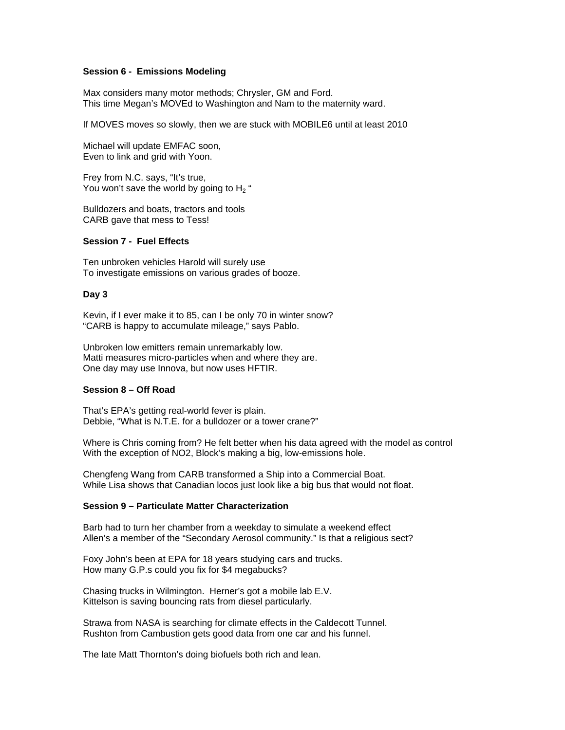## **Session 6 - Emissions Modeling**

Max considers many motor methods; Chrysler, GM and Ford. This time Megan's MOVEd to Washington and Nam to the maternity ward.

If MOVES moves so slowly, then we are stuck with MOBILE6 until at least 2010

Michael will update EMFAC soon, Even to link and grid with Yoon.

Frey from N.C. says, "It's true, You won't save the world by going to  $H_2$  "

Bulldozers and boats, tractors and tools CARB gave that mess to Tess!

#### **Session 7 - Fuel Effects**

Ten unbroken vehicles Harold will surely use To investigate emissions on various grades of booze.

## **Day 3**

Kevin, if I ever make it to 85, can I be only 70 in winter snow? "CARB is happy to accumulate mileage," says Pablo.

Unbroken low emitters remain unremarkably low. Matti measures micro-particles when and where they are. One day may use Innova, but now uses HFTIR.

### **Session 8 – Off Road**

That's EPA's getting real-world fever is plain. Debbie, "What is N.T.E. for a bulldozer or a tower crane?"

Where is Chris coming from? He felt better when his data agreed with the model as control With the exception of NO2, Block's making a big, low-emissions hole.

Chengfeng Wang from CARB transformed a Ship into a Commercial Boat. While Lisa shows that Canadian locos just look like a big bus that would not float.

#### **Session 9 – Particulate Matter Characterization**

Barb had to turn her chamber from a weekday to simulate a weekend effect Allen's a member of the "Secondary Aerosol community." Is that a religious sect?

Foxy John's been at EPA for 18 years studying cars and trucks. How many G.P.s could you fix for \$4 megabucks?

Chasing trucks in Wilmington. Herner's got a mobile lab E.V. Kittelson is saving bouncing rats from diesel particularly.

Strawa from NASA is searching for climate effects in the Caldecott Tunnel. Rushton from Cambustion gets good data from one car and his funnel.

The late Matt Thornton's doing biofuels both rich and lean.